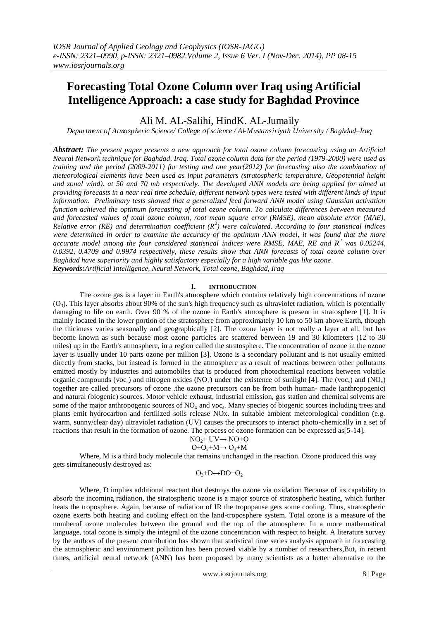# **Forecasting Total Ozone Column over Iraq using Artificial Intelligence Approach: a case study for Baghdad Province**

Ali M. AL-Salihi, HindK. AL-Jumaily

*Department of Atmospheric Science/ College of science / Al-Mustansiriyah University / Baghdad–Iraq*

*Abstract: The present paper presents a new approach for total ozone column forecasting using an Artificial Neural Network technique for Baghdad, Iraq. Total ozone column data for the period (1979-2000) were used as training and the period (2009-2011) for testing and one year(2012) for forecasting also the combination of meteorological elements have been used as input parameters (stratospheric temperature, Geopotential height and zonal wind). at 50 and 70 mb respectively. The developed ANN models are being applied for aimed at providing forecasts in a near real time schedule, different network types were tested with different kinds of input information. Preliminary tests showed that a generalized feed forward ANN model using Gaussian activation function achieved the optimum forecasting of total ozone column. To calculate differences between measured and forecasted values of total ozone column, root mean square error (RMSE), mean absolute error (MAE), Relative error (RE) and determination coefficient (R<sup>2</sup> ) were calculated. According to four statistical indices were determined in order to examine the accuracy of the optimum ANN model, it was found that the more accurate model among the four considered statistical indices were RMSE, MAE, RE and R<sup>2</sup> was 0.05244, 0.0392, 0.4709 and 0.9974 respectively, these results show that ANN forecasts of total ozone column over Baghdad have superiority and highly satisfactory especially for a high variable gas like ozone. Keywords:Artificial Intelligence, Neural Network, Total ozone, Baghdad, Iraq*

# **I. INTRODUCTION**

The ozone gas is a layer in Earth's atmosphere which contains relatively high concentrations of ozone  $(O_3)$ . This layer absorbs about 90% of the sun's high frequency such as ultraviolet radiation, which is potentially damaging to life on earth. Over 90 % of the ozone in Earth's atmosphere is present in stratosphere [1]. It is mainly located in the lower portion of the stratosphere from approximately 10 km to 50 km above Earth, though the thickness varies seasonally and geographically [2]. The ozone layer is not really a layer at all, but has become known as such because most ozone particles are scattered between 19 and 30 kilometers (12 to 30 miles) up in the Earth's atmosphere, in a region called the stratosphere. The concentration of ozone in the ozone layer is usually under 10 parts ozone per million [3]. Ozone is a secondary pollutant and is not usually emitted directly from stacks, but instead is formed in the atmosphere as a result of reactions between other pollutants emitted mostly by industries and automobiles that is produced from photochemical reactions between volatile organic compounds (voc<sub>s</sub>) and nitrogen oxides (NO<sub>x</sub>) under the existence of sunlight [4]. The (voc<sub>s</sub>) and (NO<sub>x</sub>) together are called precursors of ozone .the ozone precursors can be from both human- made (anthropogenic) and natural (biogenic) sources. Motor vehicle exhaust, industrial emission, gas station and chemical solvents are some of the major anthropogenic sources of  $NO_x$  and voc<sub>s</sub>. Many species of biogenic sources including trees and plants emit hydrocarbon and fertilized soils release NOx. In suitable ambient meteorological condition (e.g. warm, sunny/clear day) ultraviolet radiation (UV) causes the precursors to interact photo-chemically in a set of reactions that result in the formation of ozone. The process of ozone formation can be expressed as[5-14].

$$
NO2+ UV \rightarrow NO+O
$$
  

$$
O+O2+M \rightarrow O3+M
$$

Where, M is a third body molecule that remains unchanged in the reaction. Ozone produced this way gets simultaneously destroyed as:

## $O_3+D\rightarrow DO+O_2$

Where, D implies additional reactant that destroys the ozone via oxidation Because of its capability to absorb the incoming radiation, the stratospheric ozone is a major source of stratospheric heating, which further heats the troposphere. Again, because of radiation of IR the tropopause gets some cooling. Thus, stratospheric ozone exerts both heating and cooling effect on the land-troposphere system. Total ozone is a measure of the numberof ozone molecules between the ground and the top of the atmosphere. In a more mathematical language, total ozone is simply the integral of the ozone concentration with respect to height. A literature survey by the authors of the present contribution has shown that statistical time series analysis approach in forecasting the atmospheric and environment pollution has been proved viable by a number of researchers,But, in recent times, artificial neural network (ANN) has been proposed by many scientists as a better alternative to the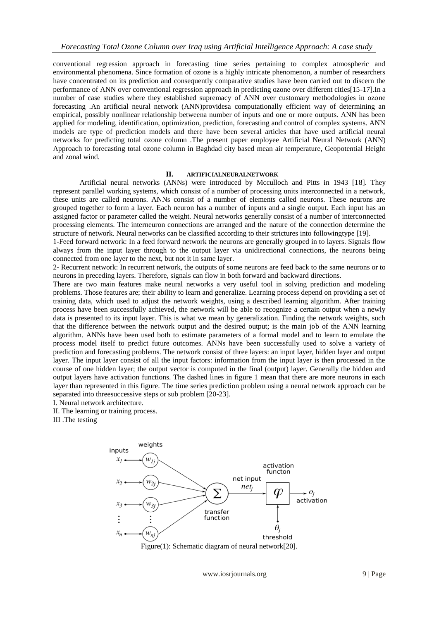conventional regression approach in forecasting time series pertaining to complex atmospheric and environmental phenomena. Since formation of ozone is a highly intricate phenomenon, a number of researchers have concentrated on its prediction and consequently comparative studies have been carried out to discern the performance of ANN over conventional regression approach in predicting ozone over different cities[15-17].In a number of case studies where they established supremacy of ANN over customary methodologies in ozone forecasting .An artificial neural network (ANN)providesa computationally efficient way of determining an empirical, possibly nonlinear relationship betweena number of inputs and one or more outputs. ANN has been applied for modeling, identification, optimization, prediction, forecasting and control of complex systems. ANN models are type of prediction models and there have been several articles that have used artificial neural networks for predicting total ozone column .The present paper employee Artificial Neural Network (ANN) Approach to forecasting total ozone column in Baghdad city based mean air temperature, Geopotential Height and zonal wind.

#### **II. ARTIFICIALNEURALNETWORK**

Artificial neural networks (ANNs) were introduced by Mcculloch and Pitts in 1943 [18]. They represent parallel working systems, which consist of a number of processing units interconnected in a network, these units are called neurons. ANNs consist of a number of elements called neurons. These neurons are grouped together to form a layer. Each neuron has a number of inputs and a single output. Each input has an assigned factor or parameter called the weight. Neural networks generally consist of a number of interconnected processing elements. The interneuron connections are arranged and the nature of the connection determine the structure of network. Neural networks can be classified according to their strictures into followingtype [19].

1-Feed forward network: In a feed forward network the neurons are generally grouped in to layers. Signals flow always from the input layer through to the output layer via unidirectional connections, the neurons being connected from one layer to the next, but not it in same layer.

2- Recurrent network: In recurrent network, the outputs of some neurons are feed back to the same neurons or to neurons in preceding layers. Therefore, signals can flow in both forward and backward directions.

There are two main features make neural networks a very useful tool in solving prediction and modeling problems. Those features are; their ability to learn and generalize. Learning process depend on providing a set of training data, which used to adjust the network weights, using a described learning algorithm. After training process have been successfully achieved, the network will be able to recognize a certain output when a newly data is presented to its input layer. This is what we mean by generalization. Finding the network weights, such that the difference between the network output and the desired output; is the main job of the ANN learning algorithm. ANNs have been used both to estimate parameters of a formal model and to learn to emulate the process model itself to predict future outcomes. ANNs have been successfully used to solve a variety of prediction and forecasting problems. The network consist of three layers: an input layer, hidden layer and output layer. The input layer consist of all the input factors: information from the input layer is then processed in the course of one hidden layer; the output vector is computed in the final (output) layer. Generally the hidden and output layers have activation functions. The dashed lines in figure 1 mean that there are more neurons in each layer than represented in this figure. The time series prediction problem using a neural network approach can be separated into threesuccessive steps or sub problem [20-23].

I. Neural network architecture.

II. The learning or training process.

III .The testing

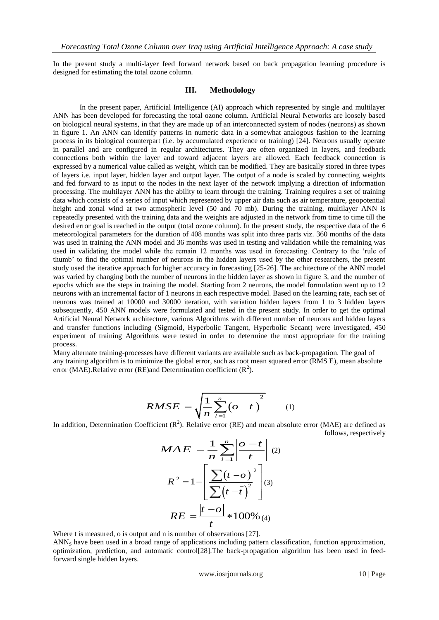In the present study a multi-layer feed forward network based on back propagation learning procedure is designed for estimating the total ozone column.

## **III. Methodology**

In the present paper, Artificial Intelligence (AI) approach which represented by single and multilayer ANN has been developed for forecasting the total ozone column. Artificial Neural Networks are loosely based on biological neural systems, in that they are made up of an interconnected system of nodes (neurons) as shown in figure 1. An ANN can identify patterns in numeric data in a somewhat analogous fashion to the learning process in its biological counterpart (i.e. by accumulated experience or training) [24]. Neurons usually operate in parallel and are configured in regular architectures. They are often organized in layers, and feedback connections both within the layer and toward adjacent layers are allowed. Each feedback connection is expressed by a numerical value called as weight, which can be modified. They are basically stored in three types of layers i.e. input layer, hidden layer and output layer. The output of a node is scaled by connecting weights and fed forward to as input to the nodes in the next layer of the network implying a direction of information processing. The multilayer ANN has the ability to learn through the training. Training requires a set of training data which consists of a series of input which represented by upper air data such as air temperature, geopotential height and zonal wind at two atmospheric level (50 and 70 mb). During the training, multilayer ANN is repeatedly presented with the training data and the weights are adjusted in the network from time to time till the desired error goal is reached in the output (total ozone column). In the present study, the respective data of the 6 meteorological parameters for the duration of 408 months was split into three parts viz. 360 months of the data was used in training the ANN model and 36 months was used in testing and validation while the remaining was used in validating the model while the remain 12 months was used in forecasting. Contrary to the 'rule of thumb' to find the optimal number of neurons in the hidden layers used by the other researchers, the present study used the iterative approach for higher accuracy in forecasting [25-26]. The architecture of the ANN model was varied by changing both the number of neurons in the hidden layer as shown in figure 3, and the number of epochs which are the steps in training the model. Starting from 2 neurons, the model formulation went up to 12 neurons with an incremental factor of 1 neurons in each respective model. Based on the learning rate, each set of neurons was trained at 10000 and 30000 iteration, with variation hidden layers from 1 to 3 hidden layers subsequently, 450 ANN models were formulated and tested in the present study. In order to get the optimal Artificial Neural Network architecture, various Algorithms with different number of neurons and hidden layers and transfer functions including (Sigmoid, Hyperbolic Tangent, Hyperbolic Secant) were investigated, 450 experiment of training Algorithms were tested in order to determine the most appropriate for the training process.

Many alternate training-processes have different variants are available such as back-propagation. The goal of any training algorithm is to minimize the global error, such as root mean squared error (RMS E), mean absolute error (MAE).Relative error (RE)and Determination coefficient  $(R^2)$ .

$$
RMSE = \sqrt{\frac{1}{n} \sum_{i=1}^{n} (o - t)^{2}}
$$
 (1)

In addition, Determination Coefficient  $(R^2)$ . Relative error (RE) and mean absolute error (MAE) are defined as follows, respectively

$$
MAE = \frac{1}{n} \sum_{i=1}^{n} \left| \frac{o - t}{t} \right| (2)
$$

$$
R^2 = 1 - \left[ \frac{\sum (t - o)^2}{\sum (t - \overline{t})^2} \right] (3)
$$

$$
RE = \frac{|t - o|}{t} * 100\% (4)
$$

Where t is measured, o is output and n is number of observations [27].

ANN<sup>S</sup> have been used in a broad range of applications including pattern classification, function approximation, optimization, prediction, and automatic control[28].The back-propagation algorithm has been used in feedforward single hidden layers.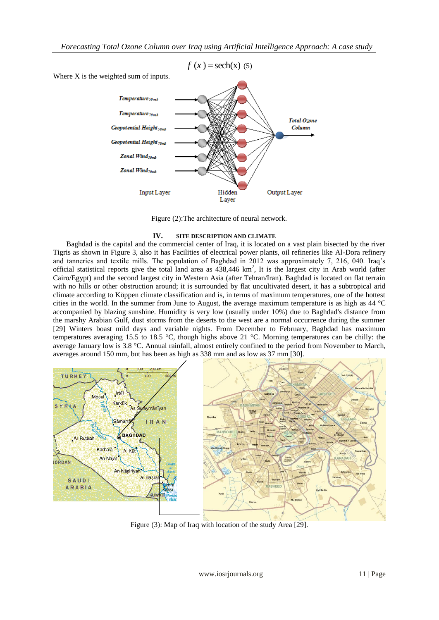

Figure (2):The architecture of neural network.

# **IV. SITE DESCRIPTION AND CLIMATE**

Baghdad is the capital and the commercial center of Iraq, it is located on a vast plain bisected by the river Tigris as shown in Figure 3, also it has Facilities of electrical power plants, oil refineries like Al-Dora refinery and tanneries and textile mills. The population of Baghdad in 2012 was approximately 7, 216, 040. Iraq's official statistical reports give the total land area as  $438,446 \text{ km}^2$ , It is the largest city in Arab world (after Cairo/Egypt) and the second largest city in Western Asia (after Tehran/Iran). Baghdad is located on flat terrain with no hills or other obstruction around; it is surrounded by flat uncultivated desert, it has a subtropical arid climate according to Köppen climate classification and is, in terms of maximum temperatures, one of the hottest cities in the world. In the summer from June to August, the average maximum temperature is as high as 44 °C accompanied by blazing sunshine. Humidity is very low (usually under 10%) due to Baghdad's distance from the marshy Arabian Gulf, dust storms from the deserts to the west are a normal occurrence during the summer [29] Winters boast mild days and variable nights. From December to February, Baghdad has maximum temperatures averaging 15.5 to 18.5 °C, though highs above 21 °C. Morning temperatures can be chilly: the average January low is 3.8 °C. Annual rainfall, almost entirely confined to the period from November to March, averages around 150 mm, but has been as high as 338 mm and as low as 37 mm [30].



Figure (3): Map of Iraq with location of the study Area [29].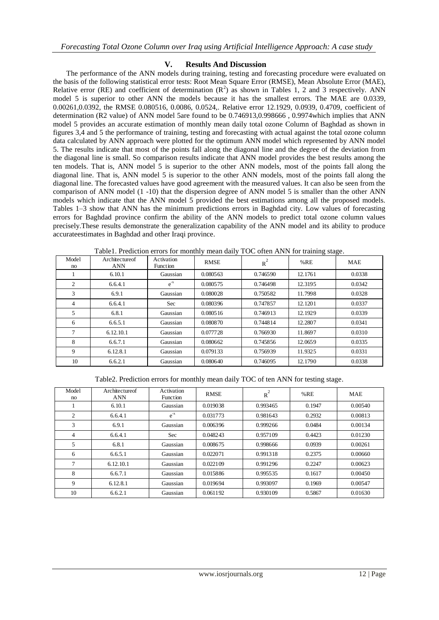## **V. Results And Discussion**

The performance of the ANN models during training, testing and forecasting procedure were evaluated on the basis of the following statistical error tests: Root Mean Square Error (RMSE), Mean Absolute Error (MAE), Relative error (RE) and coefficient of determination  $(R^2)$  as shown in Tables 1, 2 and 3 respectively. ANN model 5 is superior to other ANN the models because it has the smallest errors. The MAE are 0.0339, 0.00261,0.0392, the RMSE 0.080516, 0.0086, 0.0524,. Relative error 12.1929, 0.0939, 0.4709, coefficient of determination (R2 value) of ANN model 5are found to be 0.746913,0.998666 , 0.9974which implies that ANN model 5 provides an accurate estimation of monthly mean daily total ozone Column of Baghdad as shown in figures 3,4 and 5 the performance of training, testing and forecasting with actual against the total ozone column data calculated by ANN approach were plotted for the optimum ANN model which represented by ANN model 5. The results indicate that most of the points fall along the diagonal line and the degree of the deviation from the diagonal line is small. So comparison results indicate that ANN model provides the best results among the ten models. That is, ANN model 5 is superior to the other ANN models, most of the points fall along the diagonal line. That is, ANN model 5 is superior to the other ANN models, most of the points fall along the diagonal line. The forecasted values have good agreement with the measured values. It can also be seen from the comparison of ANN model (1 -10) that the dispersion degree of ANN model 5 is smaller than the other ANN models which indicate that the ANN model 5 provided the best estimations among all the proposed models. Tables 1–3 show that ANN has the minimum predictions errors in Baghdad city. Low values of forecasting errors for Baghdad province confirm the ability of the ANN models to predict total ozone column values precisely.These results demonstrate the generalization capability of the ANN model and its ability to produce accurateestimates in Baghdad and other Iraqi province.

| Model<br>no    | Architectureof<br><b>ANN</b> | Activation<br><b>Function</b> | <b>RMSE</b> | $R^2$    | %RE     | <b>MAE</b> |
|----------------|------------------------------|-------------------------------|-------------|----------|---------|------------|
|                | 6.10.1                       | Gaussian                      | 0.080563    | 0.746590 | 12.1761 | 0.0338     |
| $\overline{2}$ | 6.6.4.1                      | $e^{-x}$                      | 0.080575    | 0.746498 | 12.3195 | 0.0342     |
| 3              | 6.9.1                        | Gaussian                      | 0.080028    | 0.750582 | 11.7998 | 0.0328     |
| 4              | 6.6.4.1                      | <b>Sec</b>                    | 0.080396    | 0.747857 | 12.1201 | 0.0337     |
| 5              | 6.8.1                        | Gaussian                      | 0.080516    | 0.746913 | 12.1929 | 0.0339     |
| 6              | 6.6.5.1                      | Gaussian                      | 0.080870    | 0.744814 | 12.2807 | 0.0341     |
| 7              | 6.12.10.1                    | Gaussian                      | 0.077728    | 0.766930 | 11.8697 | 0.0310     |
| 8              | 6.6.7.1                      | Gaussian                      | 0.080662    | 0.745856 | 12.0659 | 0.0335     |
| 9              | 6.12.8.1                     | Gaussian                      | 0.079133    | 0.756939 | 11.9325 | 0.0331     |
| 10             | 6.6.2.1                      | Gaussian                      | 0.080640    | 0.746095 | 12.1790 | 0.0338     |

Table1. Prediction errors for monthly mean daily TOC often ANN for training stage.

Table2. Prediction errors for monthly mean daily TOC of ten ANN for testing stage.

| Model<br>no | Architectureof<br><b>ANN</b> | Activation<br><b>Function</b> | <b>RMSE</b> | $R^2$    | $%$ RE | <b>MAE</b> |
|-------------|------------------------------|-------------------------------|-------------|----------|--------|------------|
|             | 6.10.1                       | Gaussian                      | 0.019038    | 0.993465 | 0.1947 | 0.00540    |
| 2           | 6.6.4.1                      | $e^{-x}$                      | 0.031773    | 0.981643 | 0.2932 | 0.00813    |
| 3           | 6.9.1                        | Gaussian                      | 0.006396    | 0.999266 | 0.0484 | 0.00134    |
| 4           | 6.6.4.1                      | Sec                           | 0.048243    | 0.957109 | 0.4423 | 0.01230    |
| 5           | 6.8.1                        | Gaussian                      | 0.008675    | 0.998666 | 0.0939 | 0.00261    |
| 6           | 6.6.5.1                      | Gaussian                      | 0.022071    | 0.991318 | 0.2375 | 0.00660    |
| 7           | 6.12.10.1                    | Gaussian                      | 0.022109    | 0.991296 | 0.2247 | 0.00623    |
| 8           | 6.6.7.1                      | Gaussian                      | 0.015886    | 0.995535 | 0.1617 | 0.00450    |
| 9           | 6.12.8.1                     | Gaussian                      | 0.019694    | 0.993097 | 0.1969 | 0.00547    |
| 10          | 6.6.2.1                      | Gaussian                      | 0.061192    | 0.930109 | 0.5867 | 0.01630    |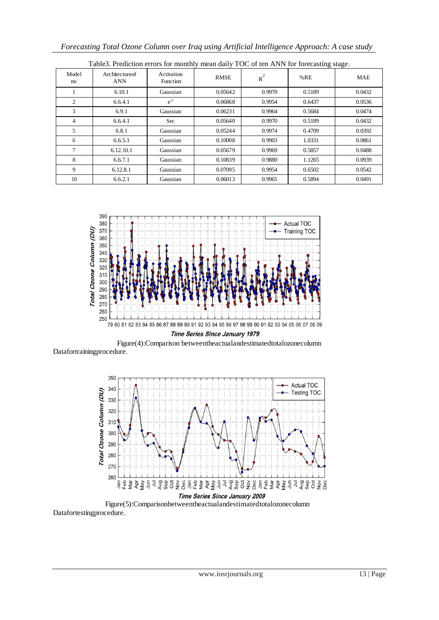| racics: Frequencial crisis for moment, mean can't receive that the forceasing stage. |                       |                        |             |        |        |            |  |
|--------------------------------------------------------------------------------------|-----------------------|------------------------|-------------|--------|--------|------------|--|
| Model<br>no                                                                          | Architectureof<br>ANN | Activation<br>Function | <b>RMSE</b> | $R^2$  | %RE    | <b>MAE</b> |  |
|                                                                                      | 6.10.1                | Gaussian               | 0.05642     | 0.9970 | 0.5189 | 0.0432     |  |
| 2                                                                                    | 6.6.4.1               | $e^{-x}$               | 0.06868     | 0.9954 | 0.6437 | 0.0536     |  |
| 3                                                                                    | 6.9.1                 | Gaussian               | 0.06231     | 0.9964 | 0.5684 | 0.0474     |  |
| $\overline{4}$                                                                       | 6.6.4.1               | Sec                    | 0.05640     | 0.9970 | 0.5189 | 0.0432     |  |
| 5                                                                                    | 6.8.1                 | Gaussian               | 0.05244     | 0.9974 | 0.4709 | 0.0392     |  |
| 6                                                                                    | 6.6.5.1               | Gaussian               | 0.10008     | 0.9903 | 1.0331 | 0.0861     |  |
| 7                                                                                    | 6.12.10.1             | Gaussian               | 0.05679     | 0.9969 | 0.5857 | 0.0488     |  |
| 8                                                                                    | 6.6.7.1               | Gaussian               | 0.10839     | 0.9880 | 1.1265 | 0.0939     |  |
| 9                                                                                    | 6.12.8.1              | Gaussian               | 0.07095     | 0.9954 | 0.6502 | 0.0542     |  |
| 10                                                                                   | 6.6.2.1               | Gaussian               | 0.06013     | 0.9965 | 0.5894 | 0.0491     |  |

Table3. Prediction errors for monthly mean daily TOC of ten ANN for forecasting stage.



Time Series Since January 1979

Figure(4):Comparison betweentheactualandestimatedtotalozonecolumn Datafortrainingprocedure.



Figure(5):Comparisonbetweentheactualandestimatedtotalozonecolumn Datafortestingprocedure.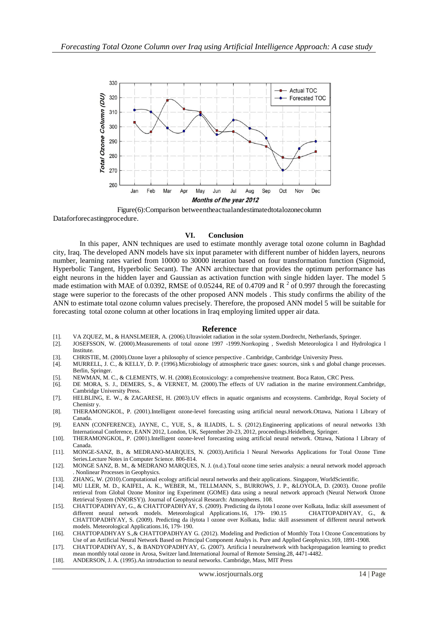

Figure(6):Comparison betweentheactualandestimatedtotalozonecolumn Dataforforecastingprocedure.

#### **VI. Conclusion**

In this paper, ANN techniques are used to estimate monthly average total ozone column in Baghdad city, Iraq. The developed ANN models have six input parameter with different number of hidden layers, neurons number, learning rates varied from 10000 to 30000 iteration based on four transformation function (Sigmoid, Hyperbolic Tangent, Hyperbolic Secant). The ANN architecture that provides the optimum performance has eight neurons in the hidden layer and Gaussian as activation function with single hidden layer. The model 5 made estimation with MAE of 0.0392, RMSE of 0.05244, RE of 0.4709 and R<sup>2</sup> of 0.997 through the forecasting stage were superior to the forecasts of the other proposed ANN models . This study confirms the ability of the ANN to estimate total ozone column values precisely. Therefore, the proposed ANN model 5 will be suitable for forecasting total ozone column at other locations in Iraq employing limited upper air data.

#### **Reference**

- [1]. VA ZQUEZ, M., & HANSLMEIER, A. (2006).Ultraviolet radiation in the solar system.Dordrecht, Netherlands, Springer.
- [2]. JOSEFSSON, W. (2000).Measurements of total ozone 1997 -1999.Norrkoping , Swedish Meteorologica l and Hydrologica l **Institute**
- [3]. CHRISTIE, M. (2000).Ozone layer a philosophy of science perspective . Cambridge, Cambridge University Press.
- [4]. MURRELL, J. C., & KELLY, D. P. (1996).Microbiology of atmospheric trace gases: sources, sink s and global change processes. Berlin, Springer.
- [5]. NEWMAN, M. C., & CLEMENTS, W. H. (2008).Ecotoxicology: a comprehensive treatment. Boca Raton, CRC Press.
- [6]. DE MORA, S. J., DEMERS, S., & VERNET, M. (2000).The effects of UV radiation in the marine environment.Cambridge, Cambridge University Press.
- [7]. HELBLING, E. W., & ZAGARESE, H. (2003).UV effects in aquatic organisms and ecosystems. Cambridge, Royal Society of Chemistr y
- [8]. THERAMONGKOL, P. (2001).Intelligent ozone-level forecasting using artificial neural network.Ottawa, Nationa l Library of Canada.
- [9]. EANN (CONFERENCE), JAYNE, C., YUE, S., & ILIADIS, L. S. (2012).Engineering applications of neural networks 13th International Conference, EANN 2012, London, UK, September 20-23, 2012, proceedings.Heidelberg, Springer.
- [10]. THERAMONGKOL, P. (2001).Intelligent ozone-level forecasting using artificial neural network. Ottawa, Nationa l Library of Canada.
- [11]. MONGE-SANZ, B., & MEDRANO-MARQUES, N. (2003).Artificia l Neural Networks Applications for Total Ozone Time Series.Lecture Notes in Computer Science. 806-814.
- [12]. MONGE SANZ, B. M., & MEDRANO MARQUES, N. J. (n.d.).Total ozone time series analysis: a neural network model approach . Nonlinear Processes in Geophysics.
- [13]. ZHANG, W. (2010).Computational ecology artificial neural networks and their applications. Singapore, WorldScientific.
- [14]. MU LLER, M. D., KAIFEL, A. K., WEBER, M., TELLMANN, S., BURROWS, J. P., &LOYOLA, D. (2003). Ozone profile retrieval from Global Ozone Monitor ing Experiment (GOME) data using a neural network approach (Neural Network Ozone Retrieval System (NNORSY)). Journal of Geophysical Research: Atmospheres. 108.
- [15]. CHATTOPADHYAY, G., & CHATTOPADHYAY, S. (2009). Predicting da ilytota l ozone over Kolkata, India: skill assessment of different neural network models. Meteorological Applications.16, 179- 190.15 CHATTOPADHYAY, G., & CHATTOPADHYAY, S. (2009). Predicting da ilytota l ozone over Kolkata, India: skill assessment of different neural network models. Meteorological Applications.16, 179- 190.
- [16]. CHATTOPADHYAY S.,& CHATTOPADHYAY G. (2012). Modeling and Prediction of Monthly Tota l Ozone Concentrations by Use of an Artificial Neural Network Based on Principal Component Analys is. Pure and Applied Geophysics.169, 1891-1908.
- [17]. CHATTOPADHYAY, S., & BANDYOPADHYAY, G. (2007). Artificia l neuralnetwork with backpropagation learning to predict mean monthly total ozone in Arosa, Switzer land.International Journal of Remote Sensing.28, 4471-4482.
- [18]. ANDERSON, J. A. (1995).An introduction to neural networks. Cambridge, Mass, MIT Press